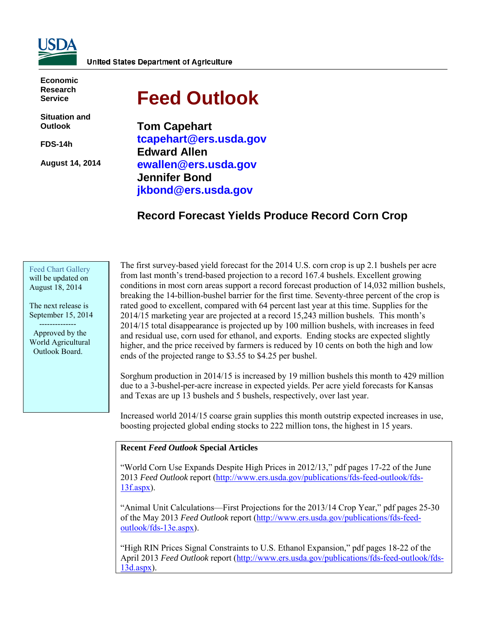

**Economic Research Service**

**Situation and Outlook**

**FDS-14h** 

**August 14, 2014** 

# **Feed Outlook**

**Tom Capehart tcapehart@ers.usda.gov Edward Allen ewallen@ers.usda.gov Jennifer Bond jkbond@ers.usda.gov** 

# **Record Forecast Yields Produce Record Corn Crop**

Feed [Chart Gallery](http://www.ers.usda.gov/data-products/feed-grain-chart-gallery.aspx) will be updated on August 18, 2014

The next release is September 15, 2014 --------------

 Approved by the World Agricultural Outlook Board.

The first survey-based yield forecast for the 2014 U.S. corn crop is up 2.1 bushels per acre from last month's trend-based projection to a record 167.4 bushels. Excellent growing conditions in most corn areas support a record forecast production of 14,032 million bushels, breaking the 14-billion-bushel barrier for the first time. Seventy-three percent of the crop is rated good to excellent, compared with 64 percent last year at this time. Supplies for the 2014/15 marketing year are projected at a record 15,243 million bushels. This month's 2014/15 total disappearance is projected up by 100 million bushels, with increases in feed and residual use, corn used for ethanol, and exports. Ending stocks are expected slightly higher, and the price received by farmers is reduced by 10 cents on both the high and low ends of the projected range to \$3.55 to \$4.25 per bushel.

Sorghum production in 2014/15 is increased by 19 million bushels this month to 429 million due to a 3-bushel-per-acre increase in expected yields. Per acre yield forecasts for Kansas and Texas are up 13 bushels and 5 bushels, respectively, over last year.

Increased world 2014/15 coarse grain supplies this month outstrip expected increases in use, boosting projected global ending stocks to 222 million tons, the highest in 15 years.

#### **Recent** *Feed Outlook* **Special Articles**

"World Corn Use Expands Despite High Prices in 2012/13," pdf pages 17-22 of the June 2013 *Feed Outlook* report [\(http://www.ers.usda.gov/publications/fds-feed-outlook/fds-](http://www.ers.usda.gov/publications/fds-feed-outlook/fds-13f.aspx)[13f.aspx\)](http://www.ers.usda.gov/publications/fds-feed-outlook/fds-13f.aspx).

"Animal Unit Calculations—First Projections for the 2013/14 Crop Year," pdf pages 25-30 of the May 2013 *Feed Outlook* report [\(http://www.ers.usda.gov/publications/fds-feed](http://www.ers.usda.gov/publications/fds-feed-outlook/fds-13e.aspx)[outlook/fds-13e.aspx\)](http://www.ers.usda.gov/publications/fds-feed-outlook/fds-13e.aspx).

"High RIN Prices Signal Constraints to U.S. Ethanol Expansion," pdf pages 18-22 of the April 2013 *Feed Outlook* report [\(http://www.ers.usda.gov/publications/fds-feed-outlook/fds-](http://www.ers.usda.gov/publications/fds-feed-outlook/fds-13d.aspx)[13d.aspx\)](http://www.ers.usda.gov/publications/fds-feed-outlook/fds-13d.aspx).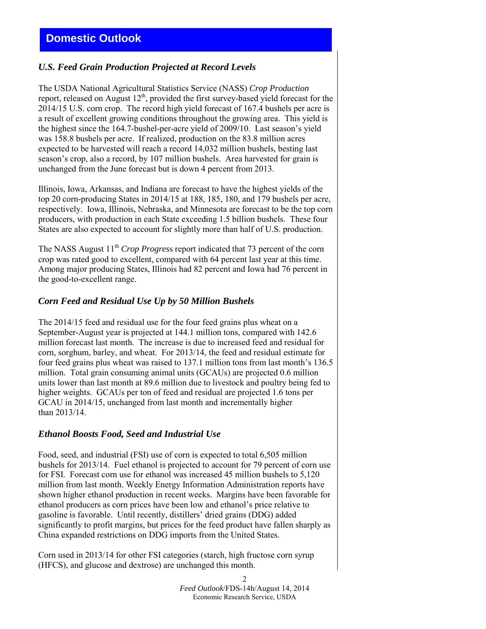# *U.S. Feed Grain Production Projected at Record Levels*

The USDA National Agricultural Statistics Service (NASS) *Crop Production*  report, released on August 12<sup>th</sup>, provided the first survey-based yield forecast for the 2014/15 U.S. corn crop. The record high yield forecast of 167.4 bushels per acre is a result of excellent growing conditions throughout the growing area. This yield is the highest since the 164.7-bushel-per-acre yield of 2009/10. Last season's yield was 158.8 bushels per acre. If realized, production on the 83.8 million acres expected to be harvested will reach a record 14,032 million bushels, besting last season's crop, also a record, by 107 million bushels. Area harvested for grain is unchanged from the June forecast but is down 4 percent from 2013.

Illinois, Iowa, Arkansas, and Indiana are forecast to have the highest yields of the top 20 corn-producing States in 2014/15 at 188, 185, 180, and 179 bushels per acre, respectively. Iowa, Illinois, Nebraska, and Minnesota are forecast to be the top corn producers, with production in each State exceeding 1.5 billion bushels. These four States are also expected to account for slightly more than half of U.S. production.

The NASS August 11<sup>th</sup> *Crop Progress* report indicated that 73 percent of the corn crop was rated good to excellent, compared with 64 percent last year at this time. Among major producing States, Illinois had 82 percent and Iowa had 76 percent in the good-to-excellent range.

# *Corn Feed and Residual Use Up by 50 Million Bushels*

The 2014/15 feed and residual use for the four feed grains plus wheat on a September-August year is projected at 144.1 million tons, compared with 142.6 million forecast last month. The increase is due to increased feed and residual for corn, sorghum, barley, and wheat. For 2013/14, the feed and residual estimate for four feed grains plus wheat was raised to 137.1 million tons from last month's 136.5 million. Total grain consuming animal units (GCAUs) are projected 0.6 million units lower than last month at 89.6 million due to livestock and poultry being fed to higher weights. GCAUs per ton of feed and residual are projected 1.6 tons per GCAU in 2014/15, unchanged from last month and incrementally higher than 2013/14.

# *Ethanol Boosts Food, Seed and Industrial Use*

Food, seed, and industrial (FSI) use of corn is expected to total 6,505 million bushels for 2013/14. Fuel ethanol is projected to account for 79 percent of corn use for FSI. Forecast corn use for ethanol was increased 45 million bushels to 5,120 million from last month. Weekly Energy Information Administration reports have shown higher ethanol production in recent weeks. Margins have been favorable for ethanol producers as corn prices have been low and ethanol's price relative to gasoline is favorable. Until recently, distillers' dried grains (DDG) added significantly to profit margins, but prices for the feed product have fallen sharply as China expanded restrictions on DDG imports from the United States.

Corn used in 2013/14 for other FSI categories (starch, high fructose corn syrup (HFCS), and glucose and dextrose) are unchanged this month.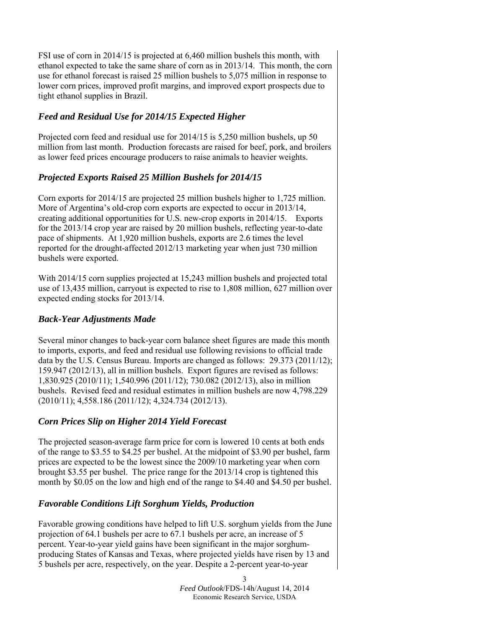FSI use of corn in 2014/15 is projected at 6,460 million bushels this month, with ethanol expected to take the same share of corn as in 2013/14. This month, the corn use for ethanol forecast is raised 25 million bushels to 5,075 million in response to lower corn prices, improved profit margins, and improved export prospects due to tight ethanol supplies in Brazil.

# *Feed and Residual Use for 2014/15 Expected Higher*

Projected corn feed and residual use for 2014/15 is 5,250 million bushels, up 50 million from last month. Production forecasts are raised for beef, pork, and broilers as lower feed prices encourage producers to raise animals to heavier weights.

# *Projected Exports Raised 25 Million Bushels for 2014/15*

Corn exports for 2014/15 are projected 25 million bushels higher to 1,725 million. More of Argentina's old-crop corn exports are expected to occur in 2013/14, creating additional opportunities for U.S. new-crop exports in 2014/15. Exports for the 2013/14 crop year are raised by 20 million bushels, reflecting year-to-date pace of shipments. At 1,920 million bushels, exports are 2.6 times the level reported for the drought-affected 2012/13 marketing year when just 730 million bushels were exported.

With 2014/15 corn supplies projected at 15,243 million bushels and projected total use of 13,435 million, carryout is expected to rise to 1,808 million, 627 million over expected ending stocks for 2013/14.

# *Back-Year Adjustments Made*

Several minor changes to back-year corn balance sheet figures are made this month to imports, exports, and feed and residual use following revisions to official trade data by the U.S. Census Bureau. Imports are changed as follows: 29.373 (2011/12); 159.947 (2012/13), all in million bushels. Export figures are revised as follows: 1,830.925 (2010/11); 1,540.996 (2011/12); 730.082 (2012/13), also in million bushels. Revised feed and residual estimates in million bushels are now 4,798.229 (2010/11); 4,558.186 (2011/12); 4,324.734 (2012/13).

# *Corn Prices Slip on Higher 2014 Yield Forecast*

The projected season-average farm price for corn is lowered 10 cents at both ends of the range to \$3.55 to \$4.25 per bushel. At the midpoint of \$3.90 per bushel, farm prices are expected to be the lowest since the 2009/10 marketing year when corn brought \$3.55 per bushel. The price range for the 2013/14 crop is tightened this month by \$0.05 on the low and high end of the range to \$4.40 and \$4.50 per bushel.

# *Favorable Conditions Lift Sorghum Yields, Production*

Favorable growing conditions have helped to lift U.S. sorghum yields from the June projection of 64.1 bushels per acre to 67.1 bushels per acre, an increase of 5 percent. Year-to-year yield gains have been significant in the major sorghumproducing States of Kansas and Texas, where projected yields have risen by 13 and 5 bushels per acre, respectively, on the year. Despite a 2-percent year-to-year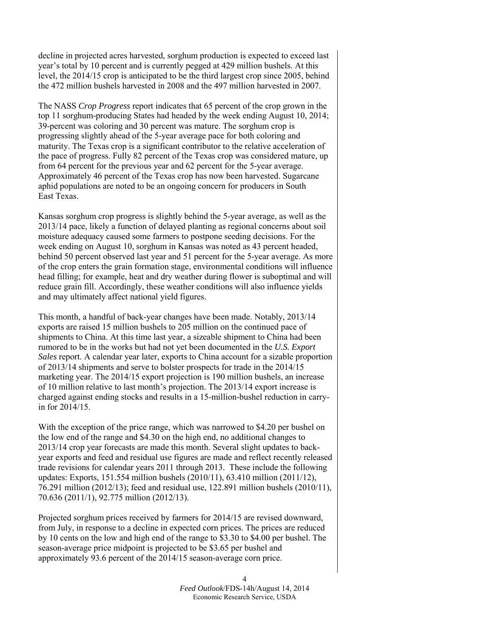decline in projected acres harvested, sorghum production is expected to exceed last year's total by 10 percent and is currently pegged at 429 million bushels. At this level, the 2014/15 crop is anticipated to be the third largest crop since 2005, behind the 472 million bushels harvested in 2008 and the 497 million harvested in 2007.

The NASS *Crop Progress* report indicates that 65 percent of the crop grown in the top 11 sorghum-producing States had headed by the week ending August 10, 2014; 39-percent was coloring and 30 percent was mature. The sorghum crop is progressing slightly ahead of the 5-year average pace for both coloring and maturity. The Texas crop is a significant contributor to the relative acceleration of the pace of progress. Fully 82 percent of the Texas crop was considered mature, up from 64 percent for the previous year and 62 percent for the 5-year average. Approximately 46 percent of the Texas crop has now been harvested. Sugarcane aphid populations are noted to be an ongoing concern for producers in South East Texas.

Kansas sorghum crop progress is slightly behind the 5-year average, as well as the 2013/14 pace, likely a function of delayed planting as regional concerns about soil moisture adequacy caused some farmers to postpone seeding decisions. For the week ending on August 10, sorghum in Kansas was noted as 43 percent headed, behind 50 percent observed last year and 51 percent for the 5-year average. As more of the crop enters the grain formation stage, environmental conditions will influence head filling; for example, heat and dry weather during flower is suboptimal and will reduce grain fill. Accordingly, these weather conditions will also influence yields and may ultimately affect national yield figures.

This month, a handful of back-year changes have been made. Notably, 2013/14 exports are raised 15 million bushels to 205 million on the continued pace of shipments to China. At this time last year, a sizeable shipment to China had been rumored to be in the works but had not yet been documented in the *U.S. Export Sales* report. A calendar year later, exports to China account for a sizable proportion of 2013/14 shipments and serve to bolster prospects for trade in the 2014/15 marketing year. The 2014/15 export projection is 190 million bushels, an increase of 10 million relative to last month's projection. The 2013/14 export increase is charged against ending stocks and results in a 15-million-bushel reduction in carryin for 2014/15.

With the exception of the price range, which was narrowed to \$4.20 per bushel on the low end of the range and \$4.30 on the high end, no additional changes to 2013/14 crop year forecasts are made this month. Several slight updates to backyear exports and feed and residual use figures are made and reflect recently released trade revisions for calendar years 2011 through 2013. These include the following updates: Exports, 151.554 million bushels (2010/11), 63.410 million (2011/12), 76.291 million (2012/13); feed and residual use, 122.891 million bushels (2010/11), 70.636 (2011/1), 92.775 million (2012/13).

Projected sorghum prices received by farmers for 2014/15 are revised downward, from July, in response to a decline in expected corn prices. The prices are reduced by 10 cents on the low and high end of the range to \$3.30 to \$4.00 per bushel. The season-average price midpoint is projected to be \$3.65 per bushel and approximately 93.6 percent of the 2014/15 season-average corn price.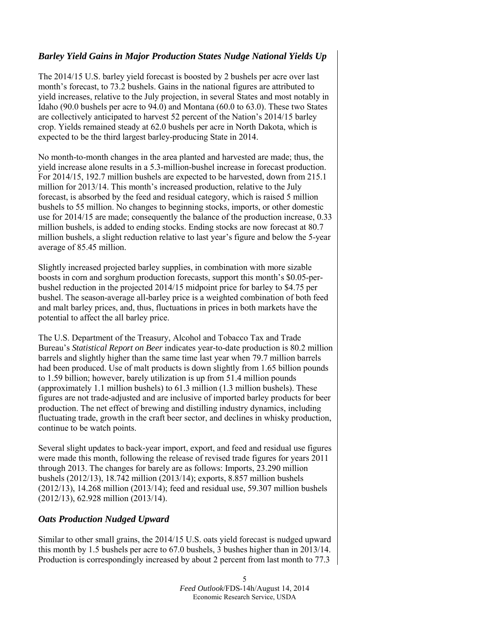# *Barley Yield Gains in Major Production States Nudge National Yields Up*

The 2014/15 U.S. barley yield forecast is boosted by 2 bushels per acre over last month's forecast, to 73.2 bushels. Gains in the national figures are attributed to yield increases, relative to the July projection, in several States and most notably in Idaho (90.0 bushels per acre to 94.0) and Montana (60.0 to 63.0). These two States are collectively anticipated to harvest 52 percent of the Nation's 2014/15 barley crop. Yields remained steady at 62.0 bushels per acre in North Dakota, which is expected to be the third largest barley-producing State in 2014.

No month-to-month changes in the area planted and harvested are made; thus, the yield increase alone results in a 5.3-million-bushel increase in forecast production. For 2014/15, 192.7 million bushels are expected to be harvested, down from 215.1 million for 2013/14. This month's increased production, relative to the July forecast, is absorbed by the feed and residual category, which is raised 5 million bushels to 55 million. No changes to beginning stocks, imports, or other domestic use for 2014/15 are made; consequently the balance of the production increase, 0.33 million bushels, is added to ending stocks. Ending stocks are now forecast at 80.7 million bushels, a slight reduction relative to last year's figure and below the 5-year average of 85.45 million.

Slightly increased projected barley supplies, in combination with more sizable boosts in corn and sorghum production forecasts, support this month's \$0.05-perbushel reduction in the projected 2014/15 midpoint price for barley to \$4.75 per bushel. The season-average all-barley price is a weighted combination of both feed and malt barley prices, and, thus, fluctuations in prices in both markets have the potential to affect the all barley price.

The U.S. Department of the Treasury, Alcohol and Tobacco Tax and Trade Bureau's *Statistical Report on Beer* indicates year-to-date production is 80.2 million barrels and slightly higher than the same time last year when 79.7 million barrels had been produced. Use of malt products is down slightly from 1.65 billion pounds to 1.59 billion; however, barely utilization is up from 51.4 million pounds (approximately 1.1 million bushels) to 61.3 million (1.3 million bushels). These figures are not trade-adjusted and are inclusive of imported barley products for beer production. The net effect of brewing and distilling industry dynamics, including fluctuating trade, growth in the craft beer sector, and declines in whisky production, continue to be watch points.

Several slight updates to back-year import, export, and feed and residual use figures were made this month, following the release of revised trade figures for years 2011 through 2013. The changes for barely are as follows: Imports, 23.290 million bushels (2012/13), 18.742 million (2013/14); exports, 8.857 million bushels (2012/13), 14.268 million (2013/14); feed and residual use, 59.307 million bushels (2012/13), 62.928 million (2013/14).

## *Oats Production Nudged Upward*

Similar to other small grains, the 2014/15 U.S. oats yield forecast is nudged upward this month by 1.5 bushels per acre to 67.0 bushels, 3 bushes higher than in 2013/14. Production is correspondingly increased by about 2 percent from last month to 77.3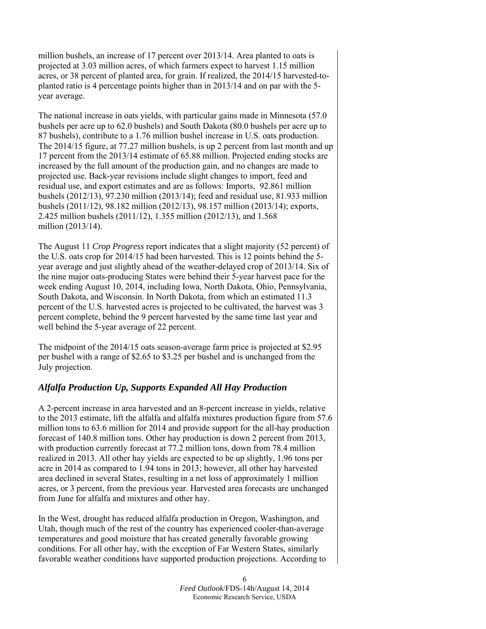million bushels, an increase of 17 percent over 2013/14. Area planted to oats is projected at 3.03 million acres, of which farmers expect to harvest 1.15 million acres, or 38 percent of planted area, for grain. If realized, the 2014/15 harvested-toplanted ratio is 4 percentage points higher than in 2013/14 and on par with the 5 year average.

The national increase in oats yields, with particular gains made in Minnesota (57.0 bushels per acre up to 62.0 bushels) and South Dakota (80.0 bushels per acre up to 87 bushels), contribute to a 1.76 million bushel increase in U.S. oats production. The 2014/15 figure, at 77.27 million bushels, is up 2 percent from last month and up 17 percent from the 2013/14 estimate of 65.88 million. Projected ending stocks are increased by the full amount of the production gain, and no changes are made to projected use. Back-year revisions include slight changes to import, feed and residual use, and export estimates and are as follows: Imports, 92.861 million bushels (2012/13), 97.230 million (2013/14); feed and residual use, 81.933 million bushels (2011/12), 98.182 million (2012/13), 98.157 million (2013/14); exports, 2.425 million bushels (2011/12), 1.355 million (2012/13), and 1.568 million (2013/14).

The August 11 *Crop Progress* report indicates that a slight majority (52 percent) of the U.S. oats crop for 2014/15 had been harvested. This is 12 points behind the 5 year average and just slightly ahead of the weather-delayed crop of 2013/14. Six of the nine major oats-producing States were behind their 5-year harvest pace for the week ending August 10, 2014, including Iowa, North Dakota, Ohio, Pennsylvania, South Dakota, and Wisconsin. In North Dakota, from which an estimated 11.3 percent of the U.S. harvested acres is projected to be cultivated, the harvest was 3 percent complete, behind the 9 percent harvested by the same time last year and well behind the 5-year average of 22 percent.

The midpoint of the 2014/15 oats season-average farm price is projected at \$2.95 per bushel with a range of \$2.65 to \$3.25 per bushel and is unchanged from the July projection.

## *Alfalfa Production Up, Supports Expanded All Hay Production*

A 2-percent increase in area harvested and an 8-percent increase in yields, relative to the 2013 estimate, lift the alfalfa and alfalfa mixtures production figure from 57.6 million tons to 63.6 million for 2014 and provide support for the all-hay production forecast of 140.8 million tons. Other hay production is down 2 percent from 2013, with production currently forecast at 77.2 million tons, down from 78.4 million realized in 2013. All other hay yields are expected to be up slightly, 1.96 tons per acre in 2014 as compared to 1.94 tons in 2013; however, all other hay harvested area declined in several States, resulting in a net loss of approximately 1 million acres, or 3 percent, from the previous year. Harvested area forecasts are unchanged from June for alfalfa and mixtures and other hay.

In the West, drought has reduced alfalfa production in Oregon, Washington, and Utah, though much of the rest of the country has experienced cooler-than-average temperatures and good moisture that has created generally favorable growing conditions. For all other hay, with the exception of Far Western States, similarly favorable weather conditions have supported production projections. According to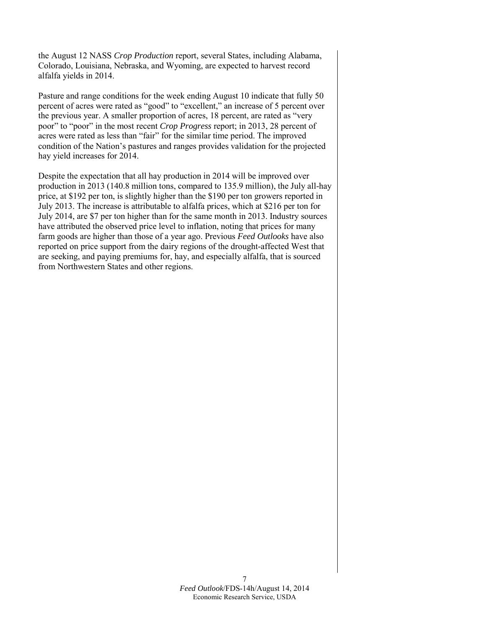the August 12 NASS *Crop Production* report, several States, including Alabama, Colorado, Louisiana, Nebraska, and Wyoming, are expected to harvest record alfalfa yields in 2014.

Pasture and range conditions for the week ending August 10 indicate that fully 50 percent of acres were rated as "good" to "excellent," an increase of 5 percent over the previous year. A smaller proportion of acres, 18 percent, are rated as "very poor" to "poor" in the most recent *Crop Progress* report; in 2013, 28 percent of acres were rated as less than "fair" for the similar time period. The improved condition of the Nation's pastures and ranges provides validation for the projected hay yield increases for 2014.

Despite the expectation that all hay production in 2014 will be improved over production in 2013 (140.8 million tons, compared to 135.9 million), the July all-hay price, at \$192 per ton, is slightly higher than the \$190 per ton growers reported in July 2013. The increase is attributable to alfalfa prices, which at \$216 per ton for July 2014, are \$7 per ton higher than for the same month in 2013. Industry sources have attributed the observed price level to inflation, noting that prices for many farm goods are higher than those of a year ago. Previous *Feed Outlooks* have also reported on price support from the dairy regions of the drought-affected West that are seeking, and paying premiums for, hay, and especially alfalfa, that is sourced from Northwestern States and other regions.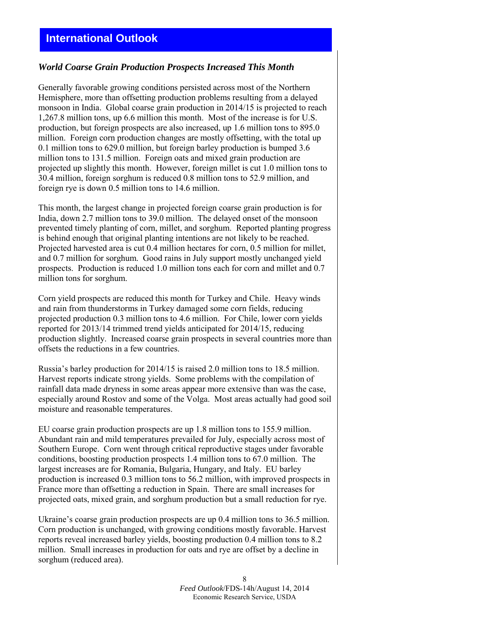# **International Outlook**

#### *World Coarse Grain Production Prospects Increased This Month*

Generally favorable growing conditions persisted across most of the Northern Hemisphere, more than offsetting production problems resulting from a delayed monsoon in India. Global coarse grain production in 2014/15 is projected to reach 1,267.8 million tons, up 6.6 million this month. Most of the increase is for U.S. production, but foreign prospects are also increased, up 1.6 million tons to 895.0 million. Foreign corn production changes are mostly offsetting, with the total up 0.1 million tons to 629.0 million, but foreign barley production is bumped 3.6 million tons to 131.5 million. Foreign oats and mixed grain production are projected up slightly this month. However, foreign millet is cut 1.0 million tons to 30.4 million, foreign sorghum is reduced 0.8 million tons to 52.9 million, and foreign rye is down 0.5 million tons to 14.6 million.

This month, the largest change in projected foreign coarse grain production is for India, down 2.7 million tons to 39.0 million. The delayed onset of the monsoon prevented timely planting of corn, millet, and sorghum. Reported planting progress is behind enough that original planting intentions are not likely to be reached. Projected harvested area is cut 0.4 million hectares for corn, 0.5 million for millet, and 0.7 million for sorghum. Good rains in July support mostly unchanged yield prospects. Production is reduced 1.0 million tons each for corn and millet and 0.7 million tons for sorghum.

Corn yield prospects are reduced this month for Turkey and Chile. Heavy winds and rain from thunderstorms in Turkey damaged some corn fields, reducing projected production 0.3 million tons to 4.6 million. For Chile, lower corn yields reported for 2013/14 trimmed trend yields anticipated for 2014/15, reducing production slightly. Increased coarse grain prospects in several countries more than offsets the reductions in a few countries.

Russia's barley production for 2014/15 is raised 2.0 million tons to 18.5 million. Harvest reports indicate strong yields. Some problems with the compilation of rainfall data made dryness in some areas appear more extensive than was the case, especially around Rostov and some of the Volga. Most areas actually had good soil moisture and reasonable temperatures.

EU coarse grain production prospects are up 1.8 million tons to 155.9 million. Abundant rain and mild temperatures prevailed for July, especially across most of Southern Europe. Corn went through critical reproductive stages under favorable conditions, boosting production prospects 1.4 million tons to 67.0 million. The largest increases are for Romania, Bulgaria, Hungary, and Italy. EU barley production is increased 0.3 million tons to 56.2 million, with improved prospects in France more than offsetting a reduction in Spain. There are small increases for projected oats, mixed grain, and sorghum production but a small reduction for rye.

Ukraine's coarse grain production prospects are up 0.4 million tons to 36.5 million. Corn production is unchanged, with growing conditions mostly favorable. Harvest reports reveal increased barley yields, boosting production 0.4 million tons to 8.2 million. Small increases in production for oats and rye are offset by a decline in sorghum (reduced area).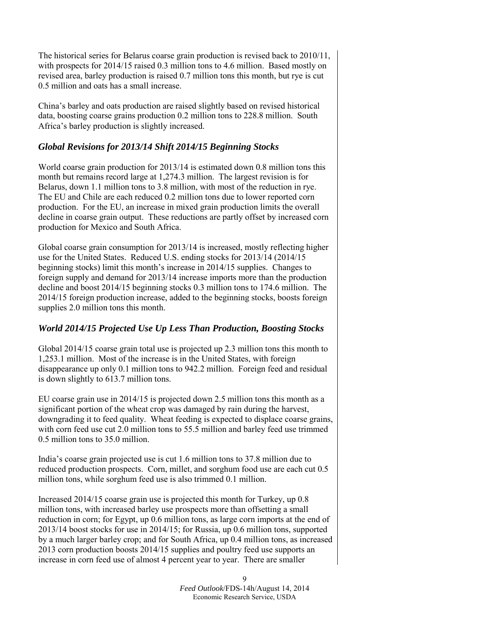The historical series for Belarus coarse grain production is revised back to 2010/11, with prospects for 2014/15 raised 0.3 million tons to 4.6 million. Based mostly on revised area, barley production is raised 0.7 million tons this month, but rye is cut 0.5 million and oats has a small increase.

China's barley and oats production are raised slightly based on revised historical data, boosting coarse grains production 0.2 million tons to 228.8 million. South Africa's barley production is slightly increased.

#### *Global Revisions for 2013/14 Shift 2014/15 Beginning Stocks*

World coarse grain production for 2013/14 is estimated down 0.8 million tons this month but remains record large at 1,274.3 million. The largest revision is for Belarus, down 1.1 million tons to 3.8 million, with most of the reduction in rye. The EU and Chile are each reduced 0.2 million tons due to lower reported corn production. For the EU, an increase in mixed grain production limits the overall decline in coarse grain output. These reductions are partly offset by increased corn production for Mexico and South Africa.

Global coarse grain consumption for 2013/14 is increased, mostly reflecting higher use for the United States. Reduced U.S. ending stocks for 2013/14 (2014/15 beginning stocks) limit this month's increase in 2014/15 supplies. Changes to foreign supply and demand for 2013/14 increase imports more than the production decline and boost 2014/15 beginning stocks 0.3 million tons to 174.6 million. The 2014/15 foreign production increase, added to the beginning stocks, boosts foreign supplies 2.0 million tons this month.

## *World 2014/15 Projected Use Up Less Than Production, Boosting Stocks*

Global 2014/15 coarse grain total use is projected up 2.3 million tons this month to 1,253.1 million. Most of the increase is in the United States, with foreign disappearance up only 0.1 million tons to 942.2 million. Foreign feed and residual is down slightly to 613.7 million tons.

EU coarse grain use in 2014/15 is projected down 2.5 million tons this month as a significant portion of the wheat crop was damaged by rain during the harvest, downgrading it to feed quality. Wheat feeding is expected to displace coarse grains, with corn feed use cut 2.0 million tons to 55.5 million and barley feed use trimmed 0.5 million tons to 35.0 million.

India's coarse grain projected use is cut 1.6 million tons to 37.8 million due to reduced production prospects. Corn, millet, and sorghum food use are each cut 0.5 million tons, while sorghum feed use is also trimmed 0.1 million.

Increased 2014/15 coarse grain use is projected this month for Turkey, up 0.8 million tons, with increased barley use prospects more than offsetting a small reduction in corn; for Egypt, up 0.6 million tons, as large corn imports at the end of 2013/14 boost stocks for use in 2014/15; for Russia, up 0.6 million tons, supported by a much larger barley crop; and for South Africa, up 0.4 million tons, as increased 2013 corn production boosts 2014/15 supplies and poultry feed use supports an increase in corn feed use of almost 4 percent year to year. There are smaller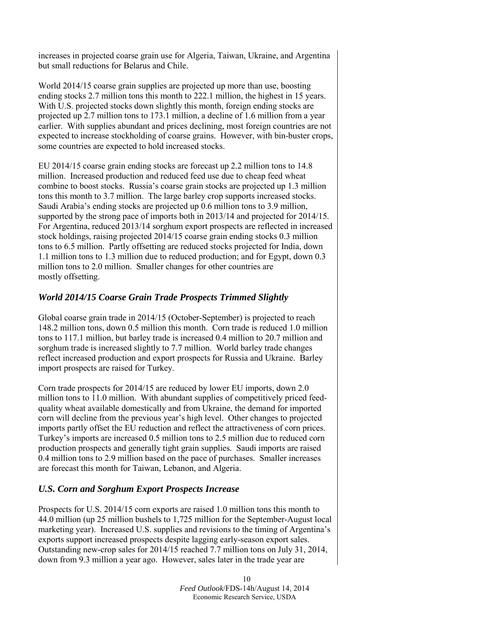increases in projected coarse grain use for Algeria, Taiwan, Ukraine, and Argentina but small reductions for Belarus and Chile.

World 2014/15 coarse grain supplies are projected up more than use, boosting ending stocks 2.7 million tons this month to 222.1 million, the highest in 15 years. With U.S. projected stocks down slightly this month, foreign ending stocks are projected up 2.7 million tons to 173.1 million, a decline of 1.6 million from a year earlier. With supplies abundant and prices declining, most foreign countries are not expected to increase stockholding of coarse grains. However, with bin-buster crops, some countries are expected to hold increased stocks.

EU 2014/15 coarse grain ending stocks are forecast up 2.2 million tons to 14.8 million. Increased production and reduced feed use due to cheap feed wheat combine to boost stocks. Russia's coarse grain stocks are projected up 1.3 million tons this month to 3.7 million. The large barley crop supports increased stocks. Saudi Arabia's ending stocks are projected up 0.6 million tons to 3.9 million, supported by the strong pace of imports both in 2013/14 and projected for 2014/15. For Argentina, reduced 2013/14 sorghum export prospects are reflected in increased stock holdings, raising projected 2014/15 coarse grain ending stocks 0.3 million tons to 6.5 million. Partly offsetting are reduced stocks projected for India, down 1.1 million tons to 1.3 million due to reduced production; and for Egypt, down 0.3 million tons to 2.0 million. Smaller changes for other countries are mostly offsetting.

## *World 2014/15 Coarse Grain Trade Prospects Trimmed Slightly*

Global coarse grain trade in 2014/15 (October-September) is projected to reach 148.2 million tons, down 0.5 million this month. Corn trade is reduced 1.0 million tons to 117.1 million, but barley trade is increased 0.4 million to 20.7 million and sorghum trade is increased slightly to 7.7 million. World barley trade changes reflect increased production and export prospects for Russia and Ukraine. Barley import prospects are raised for Turkey.

Corn trade prospects for 2014/15 are reduced by lower EU imports, down 2.0 million tons to 11.0 million. With abundant supplies of competitively priced feedquality wheat available domestically and from Ukraine, the demand for imported corn will decline from the previous year's high level. Other changes to projected imports partly offset the EU reduction and reflect the attractiveness of corn prices. Turkey's imports are increased 0.5 million tons to 2.5 million due to reduced corn production prospects and generally tight grain supplies. Saudi imports are raised 0.4 million tons to 2.9 million based on the pace of purchases. Smaller increases are forecast this month for Taiwan, Lebanon, and Algeria.

## *U.S. Corn and Sorghum Export Prospects Increase*

Prospects for U.S. 2014/15 corn exports are raised 1.0 million tons this month to 44.0 million (up 25 million bushels to 1,725 million for the September-August local marketing year). Increased U.S. supplies and revisions to the timing of Argentina's exports support increased prospects despite lagging early-season export sales. Outstanding new-crop sales for 2014/15 reached 7.7 million tons on July 31, 2014, down from 9.3 million a year ago. However, sales later in the trade year are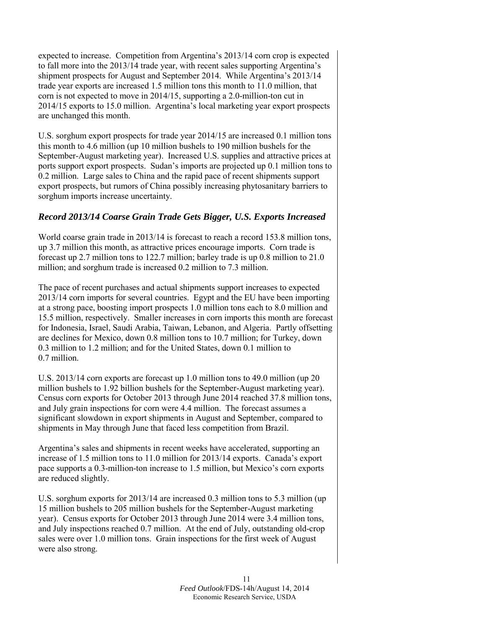expected to increase. Competition from Argentina's 2013/14 corn crop is expected to fall more into the 2013/14 trade year, with recent sales supporting Argentina's shipment prospects for August and September 2014. While Argentina's 2013/14 trade year exports are increased 1.5 million tons this month to 11.0 million, that corn is not expected to move in 2014/15, supporting a 2.0-million-ton cut in 2014/15 exports to 15.0 million. Argentina's local marketing year export prospects are unchanged this month.

U.S. sorghum export prospects for trade year 2014/15 are increased 0.1 million tons this month to 4.6 million (up 10 million bushels to 190 million bushels for the September-August marketing year). Increased U.S. supplies and attractive prices at ports support export prospects. Sudan's imports are projected up 0.1 million tons to 0.2 million. Large sales to China and the rapid pace of recent shipments support export prospects, but rumors of China possibly increasing phytosanitary barriers to sorghum imports increase uncertainty.

## *Record 2013/14 Coarse Grain Trade Gets Bigger, U.S. Exports Increased*

World coarse grain trade in 2013/14 is forecast to reach a record 153.8 million tons, up 3.7 million this month, as attractive prices encourage imports. Corn trade is forecast up 2.7 million tons to 122.7 million; barley trade is up 0.8 million to 21.0 million; and sorghum trade is increased 0.2 million to 7.3 million.

The pace of recent purchases and actual shipments support increases to expected 2013/14 corn imports for several countries. Egypt and the EU have been importing at a strong pace, boosting import prospects 1.0 million tons each to 8.0 million and 15.5 million, respectively. Smaller increases in corn imports this month are forecast for Indonesia, Israel, Saudi Arabia, Taiwan, Lebanon, and Algeria. Partly offsetting are declines for Mexico, down 0.8 million tons to 10.7 million; for Turkey, down 0.3 million to 1.2 million; and for the United States, down 0.1 million to 0.7 million.

U.S. 2013/14 corn exports are forecast up 1.0 million tons to 49.0 million (up 20 million bushels to 1.92 billion bushels for the September-August marketing year). Census corn exports for October 2013 through June 2014 reached 37.8 million tons, and July grain inspections for corn were 4.4 million. The forecast assumes a significant slowdown in export shipments in August and September, compared to shipments in May through June that faced less competition from Brazil.

Argentina's sales and shipments in recent weeks have accelerated, supporting an increase of 1.5 million tons to 11.0 million for 2013/14 exports. Canada's export pace supports a 0.3-million-ton increase to 1.5 million, but Mexico's corn exports are reduced slightly.

U.S. sorghum exports for 2013/14 are increased 0.3 million tons to 5.3 million (up 15 million bushels to 205 million bushels for the September-August marketing year). Census exports for October 2013 through June 2014 were 3.4 million tons, and July inspections reached 0.7 million. At the end of July, outstanding old-crop sales were over 1.0 million tons. Grain inspections for the first week of August were also strong.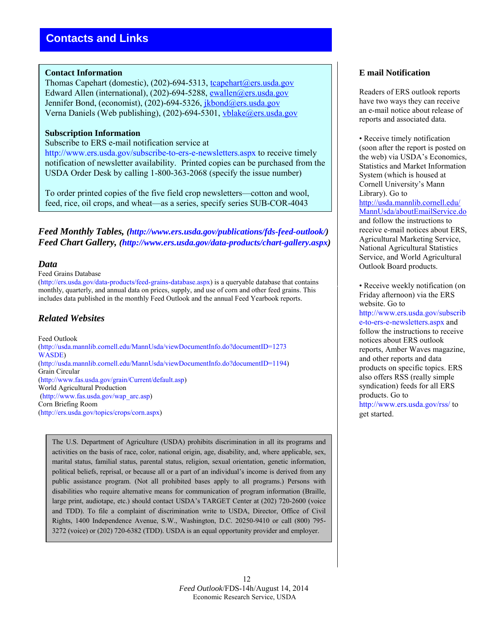#### **Contact Information**

Thomas Capehart (domestic), (202)-694-5313, tcapehart@ers.usda.gov Edward Allen (international), (202)-694-5288, [ewallen@ers.usda.gov](mailto:ewallen@ers.usda.gov) Jennifer Bond, (economist), (202)-694-5326, jkbond@ers.usda.gov Verna Daniels (Web publishing), (202)-694-5301, [vblake@ers.usda.gov](mailto:vblake@ers.usda.gov)

#### **Subscription Information**

#### Subscribe to ERS e-mail notification service at

http://www.ers.usda.gov/subscribe-to-ers-e-newsletters.aspx to receive timely notification of newsletter availability. Printed copies can be purchased from the USDA Order Desk by calling 1-800-363-2068 (specify the issue number)

To order printed copies of the five field crop newsletters—cotton and wool, feed, rice, oil crops, and wheat—as a series, specify series SUB-COR-4043

*Feed Monthly Tables, (http://www.ers.usda.gov/publications/fds-feed-outlook/) Feed Chart Gallery, (http://www.ers.usda.gov/data-products/chart-gallery.aspx)* 

#### *Data*

#### Feed Grains Database

(http://ers.usda.gov/data-products/feed-grains-database.aspx) is a queryable database that contains monthly, quarterly, and annual data on prices, supply, and use of corn and other feed grains. This includes data published in the monthly Feed Outlook and the annual Feed Yearbook reports.

## *Related Websites*

Feed Outlook (http://usda.mannlib.cornell.edu/MannUsda/viewDocumentInfo.do?documentID=1273 WASDE) (http://usda.mannlib.cornell.edu/MannUsda/viewDocumentInfo.do?documentID=1194) Grain Circular (http://www.fas.usda.gov/grain/Current/default.asp) World Agricultural Production (http://www.fas.usda.gov/wap\_arc.asp) Corn Briefing Room (http://ers.usda.gov/topics/crops/corn.aspx)

The U.S. Department of Agriculture (USDA) prohibits discrimination in all its programs and activities on the basis of race, color, national origin, age, disability, and, where applicable, sex, marital status, familial status, parental status, religion, sexual orientation, genetic information, political beliefs, reprisal, or because all or a part of an individual's income is derived from any public assistance program. (Not all prohibited bases apply to all programs.) Persons with disabilities who require alternative means for communication of program information (Braille, large print, audiotape, etc.) should contact USDA's TARGET Center at (202) 720-2600 (voice and TDD). To file a complaint of discrimination write to USDA, Director, Office of Civil Rights, 1400 Independence Avenue, S.W., Washington, D.C. 20250-9410 or call (800) 795- 3272 (voice) or (202) 720-6382 (TDD). USDA is an equal opportunity provider and employer.

#### **E mail Notification**

Readers of ERS outlook reports have two ways they can receive an e-mail notice about release of reports and associated data.

• Receive timely notification (soon after the report is posted on the web) via USDA's Economics, Statistics and Market Information System (which is housed at Cornell University's Mann Library). Go to [http://usda.mannlib.cornell.edu/](http://usda.mannlib.cornell.edu/MannUsda/aboutEmailService.do) [MannUsda/aboutEmailService.do](http://usda.mannlib.cornell.edu/MannUsda/aboutEmailService.do) and follow the instructions to receive e-mail notices about ERS, Agricultural Marketing Service, National Agricultural Statistics Service, and World Agricultural Outlook Board products.

• Receive weekly notification (on Friday afternoon) via the ERS website. Go to http://www.ers.usda.gov/subscrib e-to-ers-e-newsletters.aspx and follow the instructions to receive notices about ERS outlook reports, Amber Waves magazine, and other reports and data products on specific topics. ERS also offers RSS (really simple syndication) feeds for all ERS products. Go to http://www.ers.usda.gov/rss/ to get started.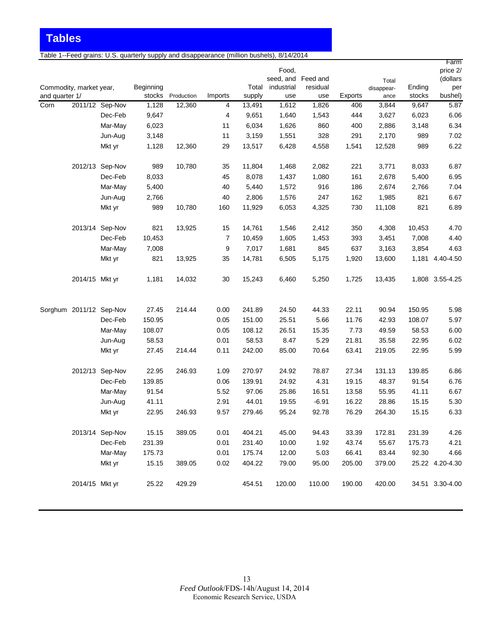Table 1--Feed grains: U.S. quarterly supply and disappearance (million bushels), 8/14/2014

|                        |                         |                 |                 |                      |                |                  | Food,<br>seed, and Feed and |              |                | Total         |                 | Farm<br>price 2/<br>(dollars |
|------------------------|-------------------------|-----------------|-----------------|----------------------|----------------|------------------|-----------------------------|--------------|----------------|---------------|-----------------|------------------------------|
|                        | Commodity, market year, |                 | Beginning       |                      |                | Total            | industrial                  | residual     |                | disappear-    | Ending          | per                          |
| and quarter 1/<br>Corn |                         | 2011/12 Sep-Nov | stocks<br>1,128 | Production<br>12,360 | Imports<br>4   | supply<br>13,491 | use<br>1,612                | use<br>1,826 | Exports<br>406 | ance<br>3,844 | stocks<br>9,647 | bushel)<br>5.87              |
|                        |                         | Dec-Feb         | 9,647           |                      | $\overline{4}$ | 9,651            | 1,640                       | 1,543        | 444            | 3,627         | 6,023           | 6.06                         |
|                        |                         | Mar-May         | 6,023           |                      | 11             | 6,034            | 1,626                       | 860          | 400            | 2,886         | 3,148           | 6.34                         |
|                        |                         | Jun-Aug         | 3,148           |                      | 11             | 3,159            | 1,551                       | 328          | 291            | 2,170         | 989             | 7.02                         |
|                        |                         | Mkt yr          | 1,128           | 12,360               | 29             | 13,517           | 6,428                       | 4,558        | 1,541          | 12,528        | 989             | 6.22                         |
|                        |                         |                 |                 |                      |                |                  |                             |              |                |               |                 |                              |
|                        |                         | 2012/13 Sep-Nov | 989             | 10,780               | 35             | 11,804           | 1,468                       | 2,082        | 221            | 3,771         | 8,033           | 6.87                         |
|                        |                         | Dec-Feb         | 8,033           |                      | 45             | 8,078            | 1,437                       | 1,080        | 161            | 2,678         | 5,400           | 6.95                         |
|                        |                         | Mar-May         | 5,400           |                      | 40             | 5,440            | 1,572                       | 916          | 186            | 2,674         | 2,766           | 7.04                         |
|                        |                         | Jun-Aug         | 2,766           |                      | 40             | 2,806            | 1,576                       | 247          | 162            | 1,985         | 821             | 6.67                         |
|                        |                         | Mkt yr          | 989             | 10,780               | 160            | 11,929           | 6,053                       | 4,325        | 730            | 11,108        | 821             | 6.89                         |
|                        |                         | 2013/14 Sep-Nov | 821             | 13,925               | 15             | 14,761           | 1,546                       | 2,412        | 350            | 4,308         | 10,453          | 4.70                         |
|                        |                         | Dec-Feb         | 10,453          |                      | 7              | 10,459           | 1,605                       | 1,453        | 393            | 3,451         | 7,008           | 4.40                         |
|                        |                         | Mar-May         | 7,008           |                      | 9              | 7,017            | 1,681                       | 845          | 637            | 3,163         | 3,854           | 4.63                         |
|                        |                         | Mkt yr          | 821             | 13,925               | 35             | 14,781           | 6,505                       | 5,175        | 1,920          | 13,600        |                 | 1,181 4.40-4.50              |
|                        | 2014/15 Mkt yr          |                 | 1,181           | 14,032               | 30             | 15,243           | 6,460                       | 5,250        | 1,725          | 13,435        |                 | 1,808 3.55-4.25              |
|                        | Sorghum 2011/12 Sep-Nov |                 | 27.45           | 214.44               | 0.00           | 241.89           | 24.50                       | 44.33        | 22.11          | 90.94         | 150.95          | 5.98                         |
|                        |                         | Dec-Feb         | 150.95          |                      | 0.05           | 151.00           | 25.51                       | 5.66         | 11.76          | 42.93         | 108.07          | 5.97                         |
|                        |                         | Mar-May         | 108.07          |                      | 0.05           | 108.12           | 26.51                       | 15.35        | 7.73           | 49.59         | 58.53           | 6.00                         |
|                        |                         | Jun-Aug         | 58.53           |                      | 0.01           | 58.53            | 8.47                        | 5.29         | 21.81          | 35.58         | 22.95           | 6.02                         |
|                        |                         | Mkt yr          | 27.45           | 214.44               | 0.11           | 242.00           | 85.00                       | 70.64        | 63.41          | 219.05        | 22.95           | 5.99                         |
|                        |                         | 2012/13 Sep-Nov | 22.95           | 246.93               | 1.09           | 270.97           | 24.92                       | 78.87        | 27.34          | 131.13        | 139.85          | 6.86                         |
|                        |                         | Dec-Feb         | 139.85          |                      | 0.06           | 139.91           | 24.92                       | 4.31         | 19.15          | 48.37         | 91.54           | 6.76                         |
|                        |                         | Mar-May         | 91.54           |                      | 5.52           | 97.06            | 25.86                       | 16.51        | 13.58          | 55.95         | 41.11           | 6.67                         |
|                        |                         | Jun-Aug         | 41.11           |                      | 2.91           | 44.01            | 19.55                       | $-6.91$      | 16.22          | 28.86         | 15.15           | 5.30                         |
|                        |                         | Mkt yr          | 22.95           | 246.93               | 9.57           | 279.46           | 95.24                       | 92.78        | 76.29          | 264.30        | 15.15           | 6.33                         |
|                        |                         | 2013/14 Sep-Nov | 15.15           | 389.05               | 0.01           | 404.21           | 45.00                       | 94.43        | 33.39          | 172.81        | 231.39          | 4.26                         |
|                        |                         | Dec-Feb         | 231.39          |                      | 0.01           | 231.40           | 10.00                       | 1.92         | 43.74          | 55.67         | 175.73          | 4.21                         |
|                        |                         | Mar-May         | 175.73          |                      | 0.01           | 175.74           | 12.00                       | 5.03         | 66.41          | 83.44         | 92.30           | 4.66                         |
|                        |                         | Mkt yr          | 15.15           | 389.05               | 0.02           | 404.22           | 79.00                       | 95.00        | 205.00         | 379.00        |                 | 25.22 4.20-4.30              |
|                        |                         |                 |                 |                      |                |                  |                             |              |                |               |                 |                              |
|                        | 2014/15 Mkt yr          |                 | 25.22           | 429.29               |                | 454.51           | 120.00                      | 110.00       | 190.00         | 420.00        |                 | 34.51 3.30-4.00              |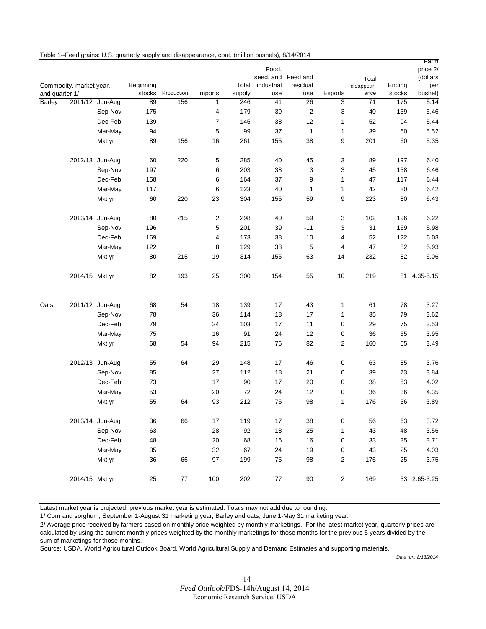|                | Commodity, market year, |                 | Beginning |                   |         | Total  | Food.<br>seed, and Feed and<br>industrial | residual     |                | Total<br>disappear- | Ending | Farm<br>price 2/<br>(dollars<br>per |
|----------------|-------------------------|-----------------|-----------|-------------------|---------|--------|-------------------------------------------|--------------|----------------|---------------------|--------|-------------------------------------|
| and quarter 1/ |                         |                 |           | stocks Production | Imports | supply | use                                       | use          | Exports        | ance                | stocks | bushel)                             |
| Barley         |                         | 2011/12 Jun-Aug | 89        | 156               | 1       | 246    | 41                                        | 26           | 3              | 71                  | 175    | 5.14                                |
|                |                         | Sep-Nov         | 175       |                   | 4       | 179    | 39                                        | $-2$         | 3              | 40                  | 139    | 5.46                                |
|                |                         | Dec-Feb         | 139       |                   | 7       | 145    | 38                                        | 12           | 1              | 52                  | 94     | 5.44                                |
|                |                         | Mar-May         | 94        |                   | 5       | 99     | 37                                        | $\mathbf{1}$ | 1              | 39                  | 60     | 5.52                                |
|                |                         | Mkt yr          | 89        | 156               | 16      | 261    | 155                                       | 38           | 9              | 201                 | 60     | 5.35                                |
|                |                         | 2012/13 Jun-Aug | 60        | 220               | 5       | 285    | 40                                        | 45           | 3              | 89                  | 197    | 6.40                                |
|                |                         | Sep-Nov         | 197       |                   | 6       | 203    | 38                                        | 3            | 3              | 45                  | 158    | 6.46                                |
|                |                         | Dec-Feb         | 158       |                   | 6       | 164    | 37                                        | 9            | $\mathbf{1}$   | 47                  | 117    | 6.44                                |
|                |                         | Mar-May         | 117       |                   | 6       | 123    | 40                                        | 1            | 1              | 42                  | 80     | 6.42                                |
|                |                         | Mkt yr          | 60        | 220               | 23      | 304    | 155                                       | 59           | 9              | 223                 | 80     | 6.43                                |
|                |                         | 2013/14 Jun-Aug | 80        | 215               | 2       | 298    | 40                                        | 59           | 3              | 102                 | 196    | 6.22                                |
|                |                         | Sep-Nov         | 196       |                   | 5       | 201    | 39                                        | $-11$        | 3              | 31                  | 169    | 5.98                                |
|                |                         | Dec-Feb         | 169       |                   | 4       | 173    | 38                                        | 10           | 4              | 52                  | 122    | 6.03                                |
|                |                         | Mar-May         | 122       |                   | 8       | 129    | 38                                        | 5            | 4              | 47                  | 82     | 5.93                                |
|                |                         | Mkt yr          | 80        | 215               | 19      | 314    | 155                                       | 63           | 14             | 232                 | 82     | 6.06                                |
|                | 2014/15 Mkt yr          |                 | 82        | 193               | 25      | 300    | 154                                       | 55           | 10             | 219                 |        | 81 4.35-5.15                        |
| Oats           |                         | 2011/12 Jun-Aug | 68        | 54                | 18      | 139    | 17                                        | 43           | 1              | 61                  | 78     | 3.27                                |
|                |                         | Sep-Nov         | 78        |                   | 36      | 114    | 18                                        | 17           | 1              | 35                  | 79     | 3.62                                |
|                |                         | Dec-Feb         | 79        |                   | 24      | 103    | 17                                        | 11           | 0              | 29                  | 75     | 3.53                                |
|                |                         | Mar-May         | 75        |                   | 16      | 91     | 24                                        | 12           | 0              | 36                  | 55     | 3.95                                |
|                |                         | Mkt yr          | 68        | 54                | 94      | 215    | 76                                        | 82           | $\overline{c}$ | 160                 | 55     | 3.49                                |
|                |                         | 2012/13 Jun-Aug | 55        | 64                | 29      | 148    | 17                                        | 46           | 0              | 63                  | 85     | 3.76                                |
|                |                         | Sep-Nov         | 85        |                   | 27      | 112    | 18                                        | 21           | 0              | 39                  | 73     | 3.84                                |
|                |                         | Dec-Feb         | 73        |                   | 17      | 90     | 17                                        | 20           | 0              | 38                  | 53     | 4.02                                |
|                |                         | Mar-May         | 53        |                   | 20      | 72     | 24                                        | 12           | 0              | 36                  | 36     | 4.35                                |
|                |                         | Mkt yr          | 55        | 64                | 93      | 212    | 76                                        | 98           | $\mathbf{1}$   | 176                 | 36     | 3.89                                |
|                |                         | 2013/14 Jun-Aug | 36        | 66                | 17      | 119    | $17\,$                                    | 38           | 0              | 56                  | 63     | 3.72                                |
|                |                         | Sep-Nov         | 63        |                   | 28      | 92     | $18\,$                                    | 25           | 1              | 43                  | 48     | 3.56                                |
|                |                         | Dec-Feb         | 48        |                   | 20      | 68     | 16                                        | 16           | 0              | 33                  | 35     | 3.71                                |
|                |                         | Mar-May         | 35        |                   | 32      | 67     | 24                                        | $19$         | 0              | 43                  | 25     | 4.03                                |
|                |                         | Mkt yr          | 36        | 66                | 97      | 199    | 75                                        | 98           | 2              | 175                 | 25     | 3.75                                |
|                | 2014/15 Mkt yr          |                 | 25        | 77                | 100     | 202    | 77                                        | $90\,$       | $\overline{c}$ | 169                 |        | 33 2.65-3.25                        |

Table 1--Feed grains: U.S. quarterly supply and disappearance, cont. (million bushels), 8/14/2014

Latest market year is projected; previous market year is estimated. Totals may not add due to rounding.

1/ Corn and sorghum, September 1-August 31 marketing year; Barley and oats, June 1-May 31 marketing year.

2/ Average price received by farmers based on monthly price weighted by monthly marketings. For the latest market year, quarterly prices are calculated by using the current monthly prices weighted by the monthly marketings for those months for the previous 5 years divided by the sum of marketings for those months.

Source: USDA, World Agricultural Outlook Board, World Agricultural Supply and Demand Estimates and supporting materials.

*Data run: 8/13/2014*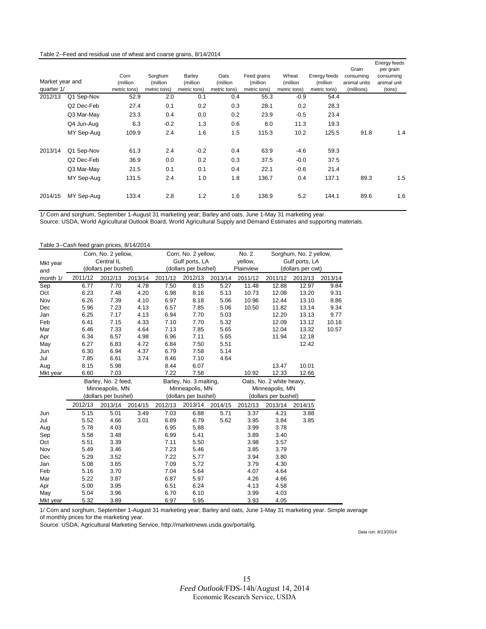#### Table 2--Feed and residual use of wheat and coarse grains, 8/14/2014

| Market year and<br>quarter 1/ |            | Corn<br>(million<br>metric tons) | Sorghum<br>(million)<br>metric tons) | Barley<br>(million<br>metric tons) | Oats<br>(million<br>metric tons) | Feed grains<br>(million<br>metric tons) | Wheat<br>(million<br>metric tons) | Energy feeds<br>(million<br>metric tons) | Grain<br>consuming<br>animal units<br>(millions) | Energy feeds<br>per grain<br>consuming<br>animal unit<br>(tons) |
|-------------------------------|------------|----------------------------------|--------------------------------------|------------------------------------|----------------------------------|-----------------------------------------|-----------------------------------|------------------------------------------|--------------------------------------------------|-----------------------------------------------------------------|
| 2012/13                       | Q1 Sep-Nov | 52.9                             | 2.0                                  | 0.1                                | 0.4                              | 55.3                                    | $-0.9$                            | 54.4                                     |                                                  |                                                                 |
|                               | Q2 Dec-Feb | 27.4                             | 0.1                                  | 0.2                                | 0.3                              | 28.1                                    | 0.2                               | 28.3                                     |                                                  |                                                                 |
|                               | Q3 Mar-May | 23.3                             | 0.4                                  | 0.0                                | 0.2                              | 23.9                                    | $-0.5$                            | 23.4                                     |                                                  |                                                                 |
|                               | Q4 Jun-Aug | 6.3                              | $-0.2$                               | 1.3                                | 0.6                              | 8.0                                     | 11.3                              | 19.3                                     |                                                  |                                                                 |
|                               | MY Sep-Aug | 109.9                            | 2.4                                  | 1.6                                | 1.5                              | 115.3                                   | 10.2                              | 125.5                                    | 91.8                                             | 1.4                                                             |
| 2013/14                       | Q1 Sep-Nov | 61.3                             | 2.4                                  | $-0.2$                             | 0.4                              | 63.9                                    | -4.6                              | 59.3                                     |                                                  |                                                                 |
|                               | Q2 Dec-Feb | 36.9                             | 0.0                                  | 0.2                                | 0.3                              | 37.5                                    | $-0.0$                            | 37.5                                     |                                                  |                                                                 |
|                               | Q3 Mar-May | 21.5                             | 0.1                                  | 0.1                                | 0.4                              | 22.1                                    | $-0.6$                            | 21.4                                     |                                                  |                                                                 |
|                               | MY Sep-Aug | 131.5                            | 2.4                                  | 1.0                                | 1.8                              | 136.7                                   | 0.4                               | 137.1                                    | 89.3                                             | 1.5                                                             |
| 2014/15                       | MY Sep-Aug | 133.4                            | 2.8                                  | 1.2                                | 1.6                              | 138.9                                   | 5.2                               | 144.1                                    | 89.6                                             | 1.6                                                             |

1/ Corn and sorghum, September 1-August 31 marketing year; Barley and oats, June 1-May 31 marketing year.

Source: USDA, World Agricultural Outlook Board, World Agricultural Supply and Demand Estimates and supporting materials.

|          | Table 3--Cash feed grain prices, 8/14/2014 |                      |         |                      |                        |         |                                |                          |                        |         |
|----------|--------------------------------------------|----------------------|---------|----------------------|------------------------|---------|--------------------------------|--------------------------|------------------------|---------|
|          |                                            | Corn, No. 2 yellow,  |         |                      | Corn, No. 2 yellow,    |         | No. 2                          |                          | Sorghum, No. 2 yellow, |         |
| Mkt year |                                            | Central IL           |         |                      | Gulf ports, LA         |         | yellow,                        |                          | Gulf ports, LA         |         |
| and      |                                            | (dollars per bushel) |         |                      | (dollars per bushel)   |         | Plainview<br>(dollars per cwt) |                          |                        |         |
| month 1/ | 2011/12                                    | 2012/13              | 2013/14 | 2011/12              | 2012/13                | 2013/14 | 2011/12                        | 2011/12                  | 2012/13                | 2013/14 |
| Sep      | 6.77                                       | 7.70                 | 4.78    | 7.50                 | 8.15                   | 5.27    | 11.48                          | 12.88                    | 12.97                  | 9.84    |
| Oct      | 6.23                                       | 7.48                 | 4.20    | 6.98                 | 8.16                   | 5.13    | 10.73                          | 12.08                    | 13.20                  | 9.31    |
| Nov      | 6.26                                       | 7.39                 | 4.10    | 6.97                 | 8.18                   | 5.06    | 10.96                          | 12.44                    | 13.10                  | 8.86    |
| Dec      | 5.96                                       | 7.23                 | 4.13    | 6.57                 | 7.85                   | 5.06    | 10.50                          | 11.82                    | 13.14                  | 9.34    |
| Jan      | 6.25                                       | 7.17                 | 4.13    | 6.94                 | 7.70                   | 5.03    |                                | 12.20                    | 13.13                  | 9.77    |
| Feb      | 6.41                                       | 7.15                 | 4.33    | 7.10                 | 7.70                   | 5.32    |                                | 12.09                    | 13.12                  | 10.16   |
| Mar      | 6.46                                       | 7.33                 | 4.64    | 7.13                 | 7.85                   | 5.65    |                                | 12.04                    | 13.32                  | 10.57   |
| Apr      | 6.34                                       | 6.57                 | 4.98    | 6.96                 | 7.11                   | 5.65    |                                | 11.94                    | 12.18                  |         |
| May      | 6.27                                       | 6.83                 | 4.72    | 6.84                 | 7.50                   | 5.51    |                                |                          | 12.42                  |         |
| Jun      | 6.30                                       | 6.94                 | 4.37    | 6.79                 | 7.58                   | 5.14    |                                |                          |                        |         |
| Jul      | 7.85                                       | 6.61                 | 3.74    | 8.46                 | 7.10                   | 4.64    |                                |                          |                        |         |
| Aug      | 8.15                                       | 5.98                 |         | 8.44                 | 6.07                   |         |                                | 13.47                    | 10.01                  |         |
| Mkt year | 6.60                                       | 7.03                 |         | 7.22                 | 7.58                   |         | 10.92                          | 12.33                    | 12.66                  |         |
|          |                                            | Barley, No. 2 feed,  |         |                      | Barley, No. 3 malting, |         |                                | Oats, No. 2 white heavy, |                        |         |
|          |                                            | Minneapolis, MN      |         |                      | Minneapolis, MN        |         |                                | Minneapolis, MN          |                        |         |
|          |                                            | (dollars per bushel) |         | (dollars per bushel) |                        |         |                                | (dollars per bushel)     |                        |         |
|          | 2012/13                                    | 2013/14              | 2014/15 | 2012/13              | 2013/14                | 2014/15 | 2012/13                        | 2013/14                  | 2014/15                |         |
| Jun      | 5.15                                       | 5.01                 | 3.49    | 7.03                 | 6.88                   | 5.71    | 3.37                           | 4.21                     | 3.88                   |         |
| Jul      | 5.52                                       | 4.66                 | 3.01    | 6.89                 | 6.79                   | 5.62    | 3.95                           | 3.84                     | 3.85                   |         |
| Aug      | 5.78                                       | 4.03                 |         | 6.95                 | 5.88                   |         | 3.99                           | 3.78                     |                        |         |
| Sep      | 5.58                                       | 3.48                 |         | 6.99                 | 5.41                   |         | 3.89                           | 3.40                     |                        |         |
| Oct      | 5.51                                       | 3.39                 |         | 7.11                 | 5.50                   |         | 3.98                           | 3.57                     |                        |         |
| Nov      | 5.49                                       | 3.46                 |         | 7.23                 | 5.46                   |         | 3.85                           | 3.79                     |                        |         |
| Dec      | 5.29                                       | 3.52                 |         | 7.22                 | 5.77                   |         | 3.94                           | 3.80                     |                        |         |
| Jan      | 5.08                                       | 3.65                 |         | 7.09                 | 5.72                   |         | 3.79                           | 4.30                     |                        |         |
| Feb      | 5.16                                       | 3.70                 |         | 7.04                 | 5.64                   |         | 4.07                           | 4.64                     |                        |         |
| Mar      | 5.22                                       | 3.87                 |         | 6.87                 | 5.97                   |         | 4.26                           | 4.66                     |                        |         |
| Apr      | 5.00                                       | 3.95                 |         | 6.51                 | 6.24                   |         | 4.13                           | 4.58                     |                        |         |
| May      | 5.04                                       | 3.96                 |         | 6.70                 | 6.10                   |         | 3.99                           | 4.03                     |                        |         |
| Mkt year | 5.32                                       | 3.89                 |         | 6.97                 | 5.95                   |         | 3.93                           | 4.05                     |                        |         |

1/ Corn and sorghum, September 1-August 31 marketing year; Barley and oats, June 1-May 31 marketing year. Simple average of monthly prices for the marketing year.

Source: USDA, Agricultural Marketing Service, http://marketnews.usda.gov/portal/lg.

*Data run: 8/13/2014*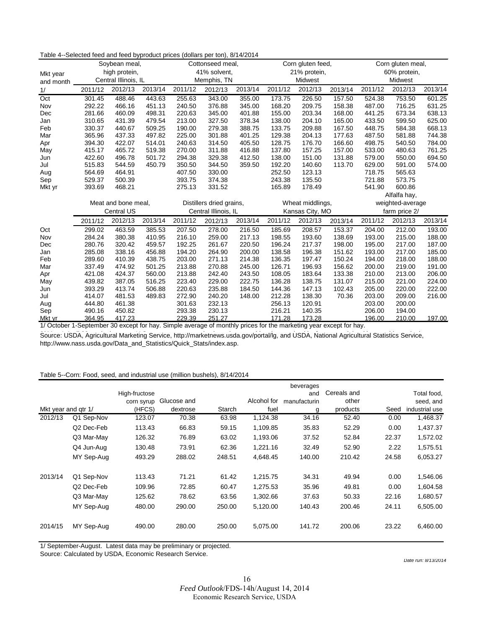| able $\pm$ belocied food and food byproduct photo (dollars por ton), or $\pm$ 2014 |                     | Soybean meal,        |         |                          | Cottonseed meal, |         |                 | Corn gluten feed, |         | Corn gluten meal, |                  |         |
|------------------------------------------------------------------------------------|---------------------|----------------------|---------|--------------------------|------------------|---------|-----------------|-------------------|---------|-------------------|------------------|---------|
| Mkt year                                                                           |                     | high protein,        |         |                          | 41% solvent,     |         |                 | 21% protein,      |         |                   | 60% protein,     |         |
| and month                                                                          |                     | Central Illinois, IL |         |                          | Memphis, TN      |         |                 | Midwest           |         |                   | Midwest          |         |
| 1/                                                                                 | 2011/12             | 2012/13              | 2013/14 | 2011/12                  | 2012/13          | 2013/14 | 2011/12         | 2012/13           | 2013/14 | 2011/12           | 2012/13          | 2013/14 |
| Oct                                                                                | 301.45              | 488.46               | 443.63  | 255.63                   | 343.00           | 355.00  | 173.75          | 226.50            | 157.50  | 524.38            | 753.50           | 601.25  |
| Nov                                                                                | 292.22              | 466.16               | 451.13  | 240.50                   | 376.88           | 345.00  | 168.20          | 209.75            | 158.38  | 487.00            | 716.25           | 631.25  |
| Dec                                                                                | 281.66              | 460.09               | 498.31  | 220.63                   | 345.00           | 401.88  | 155.00          | 203.34            | 168.00  | 441.25            | 673.34           | 638.13  |
| Jan                                                                                | 310.65              | 431.39               | 479.54  | 213.00                   | 327.50           | 378.34  | 138.00          | 204.10            | 165.00  | 433.50            | 599.50           | 625.00  |
| Feb                                                                                | 330.37              | 440.67               | 509.25  | 190.00                   | 279.38           | 388.75  | 133.75          | 209.88            | 167.50  | 448.75            | 584.38           | 668.13  |
| Mar                                                                                | 365.96              | 437.33               | 497.82  | 225.00                   | 301.88           | 401.25  | 129.38          | 204.13            | 177.63  | 487.50            | 581.88           | 744.38  |
| Apr                                                                                | 394.30              | 422.07               | 514.01  | 240.63                   | 314.50           | 405.50  | 128.75          | 176.70            | 166.60  | 498.75            | 540.50           | 784.00  |
| May                                                                                | 415.17              | 465.72               | 519.38  | 270.00                   | 311.88           | 416.88  | 137.80          | 157.25            | 157.00  | 533.00            | 480.63           | 761.25  |
| Jun                                                                                | 422.60              | 496.78               | 501.72  | 294.38                   | 329.38           | 412.50  | 138.00          | 151.00            | 131.88  | 579.00            | 550.00           | 694.50  |
| Jul                                                                                | 515.83              | 544.59               | 450.79  | 350.50                   | 344.50           | 359.50  | 192.20          | 140.60            | 113.70  | 629.00            | 591.00           | 574.00  |
| Aug                                                                                | 564.69              | 464.91               |         | 407.50                   | 330.00           |         | 252.50          | 123.13            |         | 718.75            | 565.63           |         |
| Sep                                                                                | 529.37              | 500.39               |         | 393.75                   | 374.38           |         | 243.38          | 135.50            |         | 721.88            | 573.75           |         |
| Mkt yr                                                                             | 393.69              | 468.21               |         | 275.13                   | 331.52           |         | 165.89          | 178.49            |         | 541.90            | 600.86           |         |
|                                                                                    |                     |                      |         |                          |                  |         |                 |                   |         |                   | Alfalfa hay,     |         |
|                                                                                    | Meat and bone meal, |                      |         | Distillers dried grains, |                  |         |                 | Wheat middlings,  |         |                   | weighted-average |         |
|                                                                                    |                     | <b>Central US</b>    |         | Central Illinois, IL     |                  |         | Kansas City, MO |                   |         |                   | farm price 2/    |         |
|                                                                                    | 2011/12             | 2012/13              | 2013/14 | 2011/12                  | 2012/13          | 2013/14 | 2011/12         | 2012/13           | 2013/14 | 2011/12           | 2012/13          | 2013/14 |
| Oct                                                                                | 299.02              | 463.59               | 385.53  | 207.50                   | 278.00           | 216.50  | 185.69          | 208.57            | 153.37  | 204.00            | 212.00           | 193.00  |
| Nov                                                                                | 284.24              | 380.38               | 410.95  | 216.10                   | 259.00           | 217.13  | 198.55          | 193.60            | 138.69  | 193.00            | 215.00           | 188.00  |
| Dec                                                                                | 280.76              | 320.42               | 459.57  | 192.25                   | 261.67           | 220.50  | 196.24          | 217.37            | 198.00  | 195.00            | 217.00           | 187.00  |
| Jan                                                                                | 285.08              | 338.16               | 456.88  | 194.20                   | 264.90           | 200.00  | 138.58          | 196.38            | 151.62  | 193.00            | 217.00           | 185.00  |
| Feb                                                                                | 289.60              | 410.39               | 438.75  | 203.00                   | 271.13           | 214.38  | 136.35          | 197.47            | 150.24  | 194.00            | 218.00           | 188.00  |
| Mar                                                                                | 337.49              | 474.92               | 501.25  | 213.88                   | 270.88           | 245.00  | 126.71          | 196.93            | 156.62  | 200.00            | 219.00           | 191.00  |
| Apr                                                                                | 421.08              | 424.37               | 560.00  | 213.88                   | 242.40           | 243.50  | 108.05          | 183.64            | 133.38  | 210.00            | 213.00           | 206.00  |
| May                                                                                | 439.82              | 387.05               | 516.25  | 223.40                   | 229.00           | 222.75  | 136.28          | 138.75            | 131.07  | 215.00            | 221.00           | 224.00  |
| Jun                                                                                | 393.29              | 413.74               | 506.88  | 220.63                   | 235.88           | 184.50  | 144.36          | 147.13            | 102.43  | 205.00            | 220.00           | 222.00  |
| Jul                                                                                | 414.07              | 481.53               | 489.83  | 272.90                   | 240.20           | 148.00  | 212.28          | 138.30            | 70.36   | 203.00            | 209.00           | 216.00  |
| Aug                                                                                | 444.80              | 461.38               |         | 301.63                   | 232.13           |         | 256.13          | 120.91            |         | 203.00            | 200.00           |         |
| Sep                                                                                | 490.16              | 450.82               |         | 293.38                   | 230.13           |         | 216.21          | 140.35            |         | 206.00            | 194.00           |         |
| Mkt yr                                                                             | 364.95              | 417.23               |         | 229.39                   | 251.27           |         | 171.28          | 173.28            |         | 196.00            | 210.00           | 197.00  |

Table 4--Selected feed and feed byproduct prices (dollars per ton), 8/14/2014

1/ October 1-September 30 except for hay. Simple average of monthly prices for the marketing year except for hay.

Source: USDA, Agricultural Marketing Service, http://marketnews.usda.gov/portal/lg, and USDA, National Agricultural Statistics Service, http://www.nass.usda.gov/Data\_and\_Statistics/Quick\_Stats/index.asp.

#### Table 5--Corn: Food, seed, and industrial use (million bushels), 8/14/2014

|         |                     |               |             |        |             | beverages    |             |       |                |
|---------|---------------------|---------------|-------------|--------|-------------|--------------|-------------|-------|----------------|
|         |                     | High-fructose |             |        |             | and          | Cereals and |       | Total food,    |
|         |                     | corn syrup    | Glucose and |        | Alcohol for | manufacturin | other       |       | seed, and      |
|         | Mkt year and gtr 1/ | (HFCS)        | dextrose    | Starch | fuel        | g            | products    | Seed  | industrial use |
| 2012/13 | Q1 Sep-Nov          | 123.07        | 70.38       | 63.98  | 1,124.38    | 34.16        | 52.40       | 0.00  | 1,468.37       |
|         | Q2 Dec-Feb          | 113.43        | 66.83       | 59.15  | 1,109.85    | 35.83        | 52.29       | 0.00  | 1,437.37       |
|         | Q3 Mar-May          | 126.32        | 76.89       | 63.02  | 1,193.06    | 37.52        | 52.84       | 22.37 | 1,572.02       |
|         | Q4 Jun-Aug          | 130.48        | 73.91       | 62.36  | 1,221.16    | 32.49        | 52.90       | 2.22  | 1,575.51       |
|         | MY Sep-Aug          | 493.29        | 288.02      | 248.51 | 4,648.45    | 140.00       | 210.42      | 24.58 | 6,053.27       |
| 2013/14 | Q1 Sep-Nov          | 113.43        | 71.21       | 61.42  | 1,215.75    | 34.31        | 49.94       | 0.00  | 1,546.06       |
|         | Q2 Dec-Feb          | 109.96        | 72.85       | 60.47  | 1,275.53    | 35.96        | 49.81       | 0.00  | 1,604.58       |
|         | Q3 Mar-May          | 125.62        | 78.62       | 63.56  | 1,302.66    | 37.63        | 50.33       | 22.16 | 1,680.57       |
|         | MY Sep-Aug          | 480.00        | 290.00      | 250.00 | 5,120.00    | 140.43       | 200.46      | 24.11 | 6,505.00       |
| 2014/15 | MY Sep-Aug          | 490.00        | 280.00      | 250.00 | 5,075.00    | 141.72       | 200.06      | 23.22 | 6,460.00       |

1/ September-August. Latest data may be preliminary or projected.

Source: Calculated by USDA, Economic Research Service.

*Date run: 8/13/2014*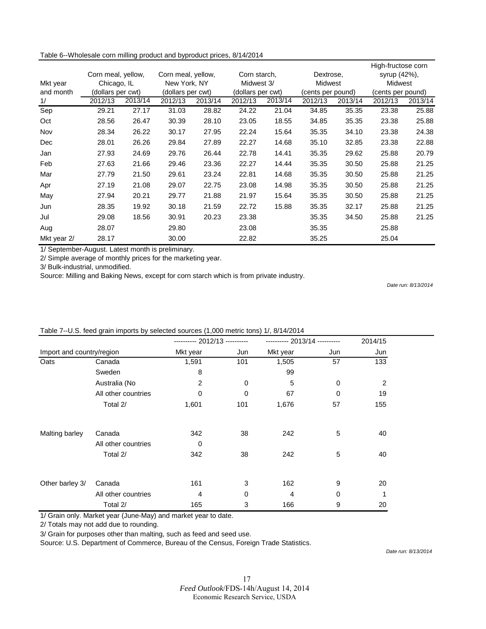Table 6--Wholesale corn milling product and byproduct prices, 8/14/2014

|             |                    |         |                    |         |                   |            |                   |         | High-fructose corn |         |
|-------------|--------------------|---------|--------------------|---------|-------------------|------------|-------------------|---------|--------------------|---------|
|             | Corn meal, yellow, |         | Corn meal, yellow, |         | Corn starch,      |            | Dextrose,         |         | syrup (42%),       |         |
| Mkt year    | Chicago, IL        |         | New York, NY       |         |                   | Midwest 3/ |                   | Midwest |                    | Midwest |
| and month   | (dollars per cwt)  |         | (dollars per cwt)  |         | (dollars per cwt) |            | (cents per pound) |         | (cents per pound)  |         |
| 1/          | 2012/13            | 2013/14 | 2012/13            | 2013/14 | 2012/13           | 2013/14    | 2012/13           | 2013/14 | 2012/13            | 2013/14 |
| Sep         | 29.21              | 27.17   | 31.03              | 28.82   | 24.22             | 21.04      | 34.85             | 35.35   | 23.38              | 25.88   |
| Oct         | 28.56              | 26.47   | 30.39              | 28.10   | 23.05             | 18.55      | 34.85             | 35.35   | 23.38              | 25.88   |
| Nov         | 28.34              | 26.22   | 30.17              | 27.95   | 22.24             | 15.64      | 35.35             | 34.10   | 23.38              | 24.38   |
| Dec         | 28.01              | 26.26   | 29.84              | 27.89   | 22.27             | 14.68      | 35.10             | 32.85   | 23.38              | 22.88   |
| Jan         | 27.93              | 24.69   | 29.76              | 26.44   | 22.78             | 14.41      | 35.35             | 29.62   | 25.88              | 20.79   |
| Feb         | 27.63              | 21.66   | 29.46              | 23.36   | 22.27             | 14.44      | 35.35             | 30.50   | 25.88              | 21.25   |
| Mar         | 27.79              | 21.50   | 29.61              | 23.24   | 22.81             | 14.68      | 35.35             | 30.50   | 25.88              | 21.25   |
| Apr         | 27.19              | 21.08   | 29.07              | 22.75   | 23.08             | 14.98      | 35.35             | 30.50   | 25.88              | 21.25   |
| May         | 27.94              | 20.21   | 29.77              | 21.88   | 21.97             | 15.64      | 35.35             | 30.50   | 25.88              | 21.25   |
| Jun         | 28.35              | 19.92   | 30.18              | 21.59   | 22.72             | 15.88      | 35.35             | 32.17   | 25.88              | 21.25   |
| Jul         | 29.08              | 18.56   | 30.91              | 20.23   | 23.38             |            | 35.35             | 34.50   | 25.88              | 21.25   |
| Aug         | 28.07              |         | 29.80              |         | 23.08             |            | 35.35             |         | 25.88              |         |
| Mkt year 2/ | 28.17              |         | 30.00              |         | 22.82             |            | 35.25             |         | 25.04              |         |

1/ September-August. Latest month is preliminary.

2/ Simple average of monthly prices for the marketing year.

3/ Bulk-industrial, unmodified.

Source: Milling and Baking News, except for corn starch which is from private industry.

*Date run: 8/13/2014*

|                           |                     | ---------- 2012/13 ---------- |     |                | ---------- 2013/14 ---------- |     |  |  |
|---------------------------|---------------------|-------------------------------|-----|----------------|-------------------------------|-----|--|--|
| Import and country/region |                     | Mkt year                      | Jun | Mkt year       | Jun                           | Jun |  |  |
| Oats                      | Canada              | 1,591                         | 101 | 1,505          | 57                            | 133 |  |  |
|                           | Sweden              | 8                             |     | 99             |                               |     |  |  |
|                           | Australia (No       | 2                             | 0   | 5              | 0                             | 2   |  |  |
|                           | All other countries | $\Omega$                      | 0   | 67             | $\Omega$                      | 19  |  |  |
|                           | Total 2/            | 1,601                         | 101 | 1,676          | 57                            | 155 |  |  |
| Malting barley            | Canada              | 342                           | 38  | 242            | 5                             | 40  |  |  |
|                           | All other countries | $\mathbf 0$                   |     |                |                               |     |  |  |
|                           | Total 2/            | 342                           | 38  | 242            | 5                             | 40  |  |  |
| Other barley 3/           | Canada              | 161                           | 3   | 162            | 9                             | 20  |  |  |
|                           | All other countries | 4                             | 0   | $\overline{4}$ | 0                             | 1   |  |  |
|                           | Total 2/            | 165                           | 3   | 166            | 9                             | 20  |  |  |

#### Table 7--U.S. feed grain imports by selected sources (1,000 metric tons) 1/, 8/14/2014

1/ Grain only. Market year (June-May) and market year to date.

2/ Totals may not add due to rounding.

3/ Grain for purposes other than malting, such as feed and seed use.

Source: U.S. Department of Commerce, Bureau of the Census, Foreign Trade Statistics.

*Date run: 8/13/2014*